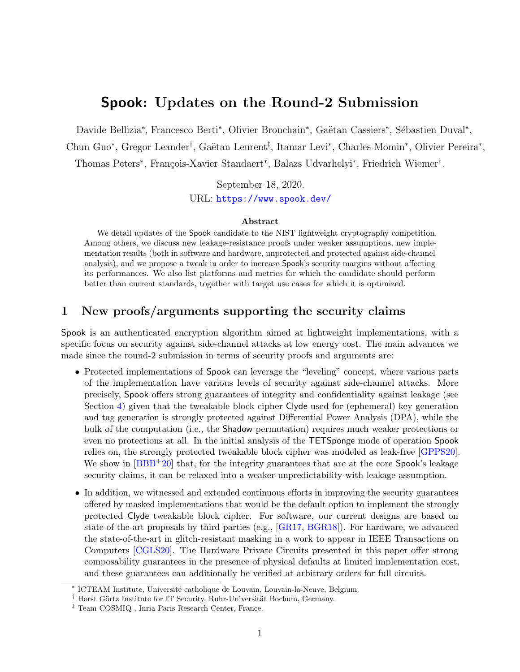# Spook: Updates on the Round-2 Submission

Davide Bellizia<sup>\*</sup>, Francesco Berti<sup>\*</sup>, Olivier Bronchain<sup>\*</sup>, Gaëtan Cassiers<sup>\*</sup>, Sébastien Duval<sup>\*</sup>,

Chun Guo<sup>∗</sup>, Gregor Leander<sup>†</sup>, Gaëtan Leurent<sup>‡</sup>, Itamar Levi<sup>∗</sup>, Charles Momin<sup>∗</sup>, Olivier Pereira<sup>∗</sup>,

Thomas Peters<sup>∗</sup>, François-Xavier Standaert<sup>∗</sup>, Balazs Udvarhelyi<sup>∗</sup>, Friedrich Wiemer<sup>†</sup>.

September 18, 2020.

URL: <https://www.spook.dev/>

#### Abstract

We detail updates of the Spook candidate to the NIST lightweight cryptography competition. Among others, we discuss new leakage-resistance proofs under weaker assumptions, new implementation results (both in software and hardware, unprotected and protected against side-channel analysis), and we propose a tweak in order to increase Spook's security margins without affecting its performances. We also list platforms and metrics for which the candidate should perform better than current standards, together with target use cases for which it is optimized.

#### 1 New proofs/arguments supporting the security claims

Spook is an authenticated encryption algorithm aimed at lightweight implementations, with a specific focus on security against side-channel attacks at low energy cost. The main advances we made since the round-2 submission in terms of security proofs and arguments are:

- Protected implementations of Spook can leverage the "leveling" concept, where various parts of the implementation have various levels of security against side-channel attacks. More precisely, Spook offers strong guarantees of integrity and confidentiality against leakage (see Section [4\)](#page-2-0) given that the tweakable block cipher Clyde used for (ephemeral) key generation and tag generation is strongly protected against Differential Power Analysis (DPA), while the bulk of the computation (i.e., the Shadow permutation) requires much weaker protections or even no protections at all. In the initial analysis of the TETSponge mode of operation Spook relies on, the strongly protected tweakable block cipher was modeled as leak-free [\[GPPS20\]](#page-5-0). We show in [\[BBB](#page-4-0)<sup>+</sup>20] that, for the integrity guarantees that are at the core **Spook**'s leakage security claims, it can be relaxed into a weaker unpredictability with leakage assumption.
- In addition, we witnessed and extended continuous efforts in improving the security guarantees offered by masked implementations that would be the default option to implement the strongly protected Clyde tweakable block cipher. For software, our current designs are based on state-of-the-art proposals by third parties (e.g., [\[GR17,](#page-5-1) [BGR18\]](#page-4-1)). For hardware, we advanced the state-of-the-art in glitch-resistant masking in a work to appear in IEEE Transactions on Computers [\[CGLS20\]](#page-5-2). The Hardware Private Circuits presented in this paper offer strong composability guarantees in the presence of physical defaults at limited implementation cost, and these guarantees can additionally be verified at arbitrary orders for full circuits.

<sup>∗</sup> ICTEAM Institute, Universit´e catholique de Louvain, Louvain-la-Neuve, Belgium.

<sup>&</sup>lt;sup>†</sup> Horst Görtz Institute for IT Security, Ruhr-Universität Bochum, Germany.

<sup>‡</sup> Team COSMIQ , Inria Paris Research Center, France.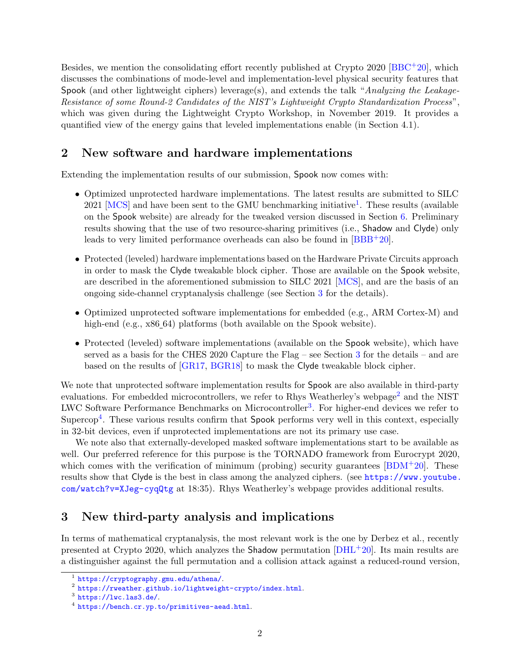Besides, we mention the consolidating effort recently published at Crypto 2020 [\[BBC](#page-4-2)+20], which discusses the combinations of mode-level and implementation-level physical security features that Spook (and other lightweight ciphers) leverage(s), and extends the talk "Analyzing the Leakage-Resistance of some Round-2 Candidates of the NIST's Lightweight Crypto Standardization Process", which was given during the Lightweight Crypto Workshop, in November 2019. It provides a quantified view of the energy gains that leveled implementations enable (in Section 4.1).

## <span id="page-1-5"></span>2 New software and hardware implementations

Extending the implementation results of our submission, Spook now comes with:

- Optimized unprotected hardware implementations. The latest results are submitted to SILC 2021 [\[MCS\]](#page-5-3) and have been sent to the GMU benchmarking initiative<sup>[1](#page-1-0)</sup>. These results (available on the Spook website) are already for the tweaked version discussed in Section [6.](#page-4-3) Preliminary results showing that the use of two resource-sharing primitives (i.e., Shadow and Clyde) only leads to very limited performance overheads can also be found in [\[BBB](#page-4-0)+20].
- Protected (leveled) hardware implementations based on the Hardware Private Circuits approach in order to mask the Clyde tweakable block cipher. Those are available on the Spook website, are described in the aforementioned submission to SILC 2021 [\[MCS\]](#page-5-3), and are the basis of an ongoing side-channel cryptanalysis challenge (see Section [3](#page-1-1) for the details).
- Optimized unprotected software implementations for embedded (e.g., ARM Cortex-M) and high-end (e.g., x86 64) platforms (both available on the Spook website).
- Protected (leveled) software implementations (available on the Spook website), which have served as a basis for the CHES 2020 Capture the Flag – see Section [3](#page-1-1) for the details – and are based on the results of [\[GR17,](#page-5-1) [BGR18\]](#page-4-1) to mask the Clyde tweakable block cipher.

We note that unprotected software implementation results for Spook are also available in third-party evaluations. For embedded microcontrollers, we refer to Rhys Weatherley's webpage<sup>[2](#page-1-2)</sup> and the NIST LWC Software Performance Benchmarks on Microcontroller<sup>[3](#page-1-3)</sup>. For higher-end devices we refer to Supercop[4](#page-1-4). These various results confirm that Spook performs very well in this context, especially in 32-bit devices, even if unprotected implementations are not its primary use case.

We note also that externally-developed masked software implementations start to be available as well. Our preferred reference for this purpose is the TORNADO framework from Eurocrypt 2020, which comes with the verification of minimum (probing) security guarantees  $[BDM+20]$  $[BDM+20]$ . These results show that Clyde is the best in class among the analyzed ciphers. (see [https://www.youtube.](https://www.youtube.com/watch?v=XJeg-cyqQtg) [com/watch?v=XJeg-cyqQtg](https://www.youtube.com/watch?v=XJeg-cyqQtg) at 18:35). Rhys Weatherley's webpage provides additional results.

### <span id="page-1-1"></span>3 New third-party analysis and implications

In terms of mathematical cryptanalysis, the most relevant work is the one by Derbez et al., recently presented at Crypto 2020, which analyzes the Shadow permutation [\[DHL](#page-5-4)+20]. Its main results are a distinguisher against the full permutation and a collision attack against a reduced-round version,

<span id="page-1-0"></span><sup>1</sup> <https://cryptography.gmu.edu/athena/>.

<span id="page-1-2"></span><sup>2</sup> <https://rweather.github.io/lightweight-crypto/index.html>.

<span id="page-1-3"></span> $3$  <https://lwc.las3.de/>.

<span id="page-1-4"></span><sup>4</sup> <https://bench.cr.yp.to/primitives-aead.html>.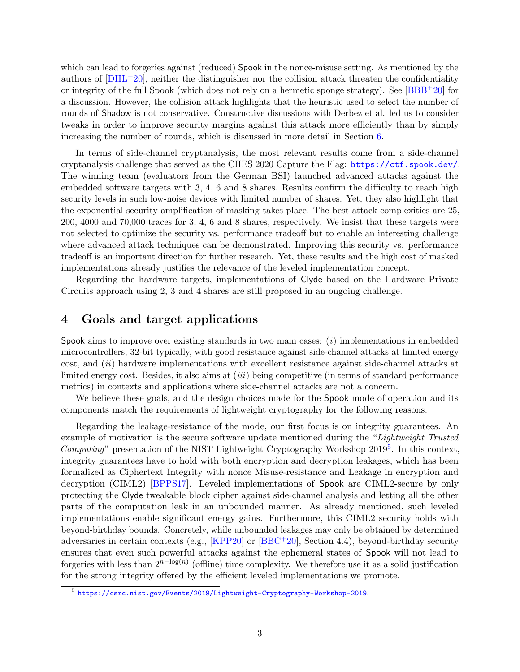which can lead to forgeries against (reduced) Spook in the nonce-misuse setting. As mentioned by the authors of  $[DHL^+20]$  $[DHL^+20]$ , neither the distinguisher nor the collision attack threaten the confidentiality or integrity of the full Spook (which does not rely on a hermetic sponge strategy). See [\[BBB](#page-4-0)+20] for a discussion. However, the collision attack highlights that the heuristic used to select the number of rounds of Shadow is not conservative. Constructive discussions with Derbez et al. led us to consider tweaks in order to improve security margins against this attack more efficiently than by simply increasing the number of rounds, which is discussed in more detail in Section [6.](#page-4-3)

In terms of side-channel cryptanalysis, the most relevant results come from a side-channel cryptanalysis challenge that served as the CHES 2020 Capture the Flag: <https://ctf.spook.dev/>. The winning team (evaluators from the German BSI) launched advanced attacks against the embedded software targets with 3, 4, 6 and 8 shares. Results confirm the difficulty to reach high security levels in such low-noise devices with limited number of shares. Yet, they also highlight that the exponential security amplification of masking takes place. The best attack complexities are 25, 200, 4000 and 70,000 traces for 3, 4, 6 and 8 shares, respectively. We insist that these targets were not selected to optimize the security vs. performance tradeoff but to enable an interesting challenge where advanced attack techniques can be demonstrated. Improving this security vs. performance tradeoff is an important direction for further research. Yet, these results and the high cost of masked implementations already justifies the relevance of the leveled implementation concept.

Regarding the hardware targets, implementations of Clyde based on the Hardware Private Circuits approach using 2, 3 and 4 shares are still proposed in an ongoing challenge.

### <span id="page-2-0"></span>4 Goals and target applications

Spook aims to improve over existing standards in two main cases:  $(i)$  implementations in embedded microcontrollers, 32-bit typically, with good resistance against side-channel attacks at limited energy  $\cot$ , and  $(ii)$  hardware implementations with excellent resistance against side-channel attacks at limited energy cost. Besides, it also aims at *(iii)* being competitive (in terms of standard performance metrics) in contexts and applications where side-channel attacks are not a concern.

We believe these goals, and the design choices made for the **Spook** mode of operation and its components match the requirements of lightweight cryptography for the following reasons.

Regarding the leakage-resistance of the mode, our first focus is on integrity guarantees. An example of motivation is the secure software update mentioned during the "Lightweight Trusted" *Computing*" presentation of the NIST Lightweight Cryptography Workshop  $2019<sup>5</sup>$  $2019<sup>5</sup>$  $2019<sup>5</sup>$ . In this context, integrity guarantees have to hold with both encryption and decryption leakages, which has been formalized as Ciphertext Integrity with nonce Misuse-resistance and Leakage in encryption and decryption (CIML2) [\[BPPS17\]](#page-4-5). Leveled implementations of Spook are CIML2-secure by only protecting the Clyde tweakable block cipher against side-channel analysis and letting all the other parts of the computation leak in an unbounded manner. As already mentioned, such leveled implementations enable significant energy gains. Furthermore, this CIML2 security holds with beyond-birthday bounds. Concretely, while unbounded leakages may only be obtained by determined adversaries in certain contexts (e.g., [\[KPP20\]](#page-5-5) or  $[BBC + 20]$  $[BBC + 20]$ , Section 4.4), beyond-birthday security ensures that even such powerful attacks against the ephemeral states of Spook will not lead to forgeries with less than  $2^{n-\log(n)}$  (offline) time complexity. We therefore use it as a solid justification for the strong integrity offered by the efficient leveled implementations we promote.

<span id="page-2-1"></span><sup>5</sup> <https://csrc.nist.gov/Events/2019/Lightweight-Cryptography-Workshop-2019>.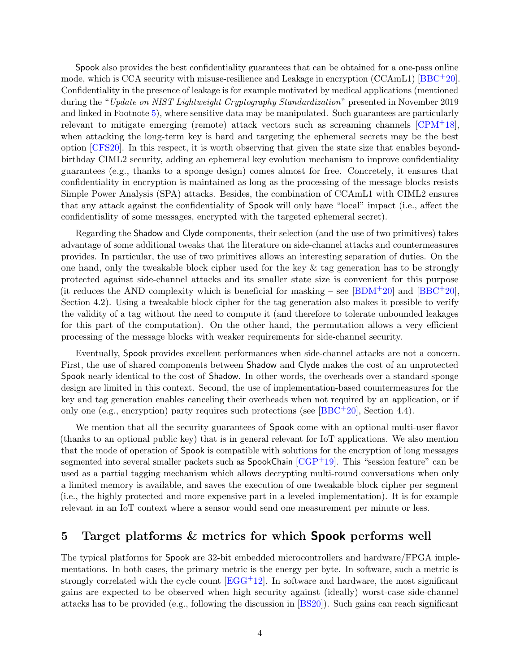Spook also provides the best confidentiality guarantees that can be obtained for a one-pass online mode, which is CCA security with misuse-resilience and Leakage in encryption (CCAmL1) [\[BBC](#page-4-2)+20]. Confidentiality in the presence of leakage is for example motivated by medical applications (mentioned during the "Update on NIST Lightweight Cryptography Standardization" presented in November 2019 and linked in Footnote [5\)](#page-2-1), where sensitive data may be manipulated. Such guarantees are particularly relevant to mitigate emerging (remote) attack vectors such as screaming channels  $\text{[CPM}^+18]$  $\text{[CPM}^+18]$  $\text{[CPM}^+18]$ , when attacking the long-term key is hard and targeting the ephemeral secrets may be the best option [\[CFS20\]](#page-5-7). In this respect, it is worth observing that given the state size that enables beyondbirthday CIML2 security, adding an ephemeral key evolution mechanism to improve confidentiality guarantees (e.g., thanks to a sponge design) comes almost for free. Concretely, it ensures that confidentiality in encryption is maintained as long as the processing of the message blocks resists Simple Power Analysis (SPA) attacks. Besides, the combination of CCAmL1 with CIML2 ensures that any attack against the confidentiality of Spook will only have "local" impact (i.e., affect the confidentiality of some messages, encrypted with the targeted ephemeral secret).

Regarding the Shadow and Clyde components, their selection (and the use of two primitives) takes advantage of some additional tweaks that the literature on side-channel attacks and countermeasures provides. In particular, the use of two primitives allows an interesting separation of duties. On the one hand, only the tweakable block cipher used for the key  $\&$  tag generation has to be strongly protected against side-channel attacks and its smaller state size is convenient for this purpose (it reduces the AND complexity which is beneficial for masking – see  $[**BDM**<sup>+</sup>20]$  and  $[**BBC**<sup>+</sup>20]$ , Section 4.2). Using a tweakable block cipher for the tag generation also makes it possible to verify the validity of a tag without the need to compute it (and therefore to tolerate unbounded leakages for this part of the computation). On the other hand, the permutation allows a very efficient processing of the message blocks with weaker requirements for side-channel security.

Eventually, Spook provides excellent performances when side-channel attacks are not a concern. First, the use of shared components between Shadow and Clyde makes the cost of an unprotected Spook nearly identical to the cost of Shadow. In other words, the overheads over a standard sponge design are limited in this context. Second, the use of implementation-based countermeasures for the key and tag generation enables canceling their overheads when not required by an application, or if only one (e.g., encryption) party requires such protections (see  $[BBC^+20]$  $[BBC^+20]$ , Section 4.4).

We mention that all the security guarantees of Spook come with an optional multi-user flavor (thanks to an optional public key) that is in general relevant for IoT applications. We also mention that the mode of operation of Spook is compatible with solutions for the encryption of long messages segmented into several smaller packets such as SpookChain [\[CGP](#page-5-8)+19]. This "session feature" can be used as a partial tagging mechanism which allows decrypting multi-round conversations when only a limited memory is available, and saves the execution of one tweakable block cipher per segment (i.e., the highly protected and more expensive part in a leveled implementation). It is for example relevant in an IoT context where a sensor would send one measurement per minute or less.

#### Target platforms & metrics for which **Spook** performs well 5

The typical platforms for Spook are 32-bit embedded microcontrollers and hardware/FPGA implementations. In both cases, the primary metric is the energy per byte. In software, such a metric is strongly correlated with the cycle count  $[EGG^+12]$  $[EGG^+12]$ . In software and hardware, the most significant gains are expected to be observed when high security against (ideally) worst-case side-channel attacks has to be provided (e.g., following the discussion in [\[BS20\]](#page-5-10)). Such gains can reach significant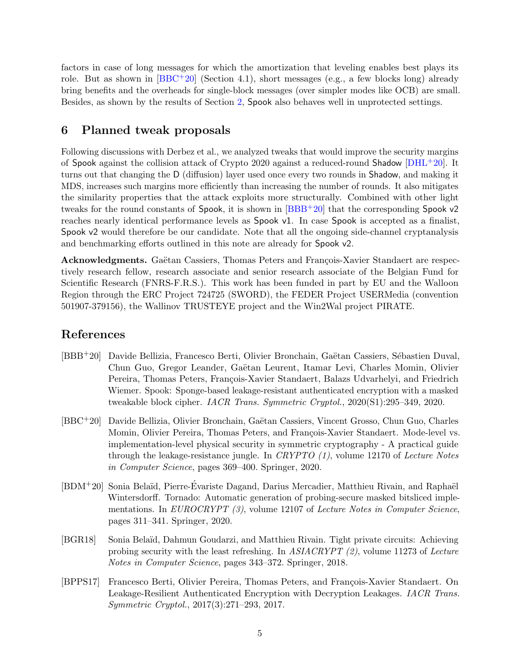factors in case of long messages for which the amortization that leveling enables best plays its role. But as shown in  $[BBC+20]$  $[BBC+20]$  (Section 4.1), short messages (e.g., a few blocks long) already bring benefits and the overheads for single-block messages (over simpler modes like OCB) are small. Besides, as shown by the results of Section [2,](#page-1-5) Spook also behaves well in unprotected settings.

#### <span id="page-4-3"></span>6 Planned tweak proposals

Following discussions with Derbez et al., we analyzed tweaks that would improve the security margins of Spook against the collision attack of Crypto 2020 against a reduced-round Shadow [\[DHL](#page-5-4)+20]. It turns out that changing the D (diffusion) layer used once every two rounds in Shadow, and making it MDS, increases such margins more efficiently than increasing the number of rounds. It also mitigates the similarity properties that the attack exploits more structurally. Combined with other light tweaks for the round constants of Spook, it is shown in  $[BBB<sup>+</sup>20]$  $[BBB<sup>+</sup>20]$  that the corresponding Spook v2 reaches nearly identical performance levels as Spook v1. In case Spook is accepted as a finalist, Spook v2 would therefore be our candidate. Note that all the ongoing side-channel cryptanalysis and benchmarking efforts outlined in this note are already for Spook v2.

Acknowledgments. Gaëtan Cassiers, Thomas Peters and François-Xavier Standaert are respectively research fellow, research associate and senior research associate of the Belgian Fund for Scientific Research (FNRS-F.R.S.). This work has been funded in part by EU and the Walloon Region through the ERC Project 724725 (SWORD), the FEDER Project USERMedia (convention 501907-379156), the Wallinov TRUSTEYE project and the Win2Wal project PIRATE.

### References

- <span id="page-4-0"></span>[BBB<sup>+</sup>20] Davide Bellizia, Francesco Berti, Olivier Bronchain, Gaëtan Cassiers, Sébastien Duval, Chun Guo, Gregor Leander, Gaëtan Leurent, Itamar Levi, Charles Momin, Olivier Pereira, Thomas Peters, François-Xavier Standaert, Balazs Udvarhelyi, and Friedrich Wiemer. Spook: Sponge-based leakage-resistant authenticated encryption with a masked tweakable block cipher. IACR Trans. Symmetric Cryptol., 2020(S1):295–349, 2020.
- <span id="page-4-2"></span>[BBC<sup>+</sup>20] Davide Bellizia, Olivier Bronchain, Gaëtan Cassiers, Vincent Grosso, Chun Guo, Charles Momin, Olivier Pereira, Thomas Peters, and François-Xavier Standaert. Mode-level vs. implementation-level physical security in symmetric cryptography - A practical guide through the leakage-resistance jungle. In CRYPTO  $(1)$ , volume 12170 of Lecture Notes in Computer Science, pages 369–400. Springer, 2020.
- <span id="page-4-4"></span> $[BDM+20]$  Sonia Belaïd, Pierre-Evariste Dagand, Darius Mercadier, Matthieu Rivain, and Raphaël Wintersdorff. Tornado: Automatic generation of probing-secure masked bitsliced implementations. In EUROCRYPT (3), volume 12107 of Lecture Notes in Computer Science, pages 311–341. Springer, 2020.
- <span id="page-4-1"></span>[BGR18] Sonia Bela¨ıd, Dahmun Goudarzi, and Matthieu Rivain. Tight private circuits: Achieving probing security with the least refreshing. In ASIACRYPT (2), volume 11273 of Lecture Notes in Computer Science, pages 343–372. Springer, 2018.
- <span id="page-4-5"></span>[BPPS17] Francesco Berti, Olivier Pereira, Thomas Peters, and François-Xavier Standaert. On Leakage-Resilient Authenticated Encryption with Decryption Leakages. IACR Trans. Symmetric Cryptol., 2017(3):271–293, 2017.